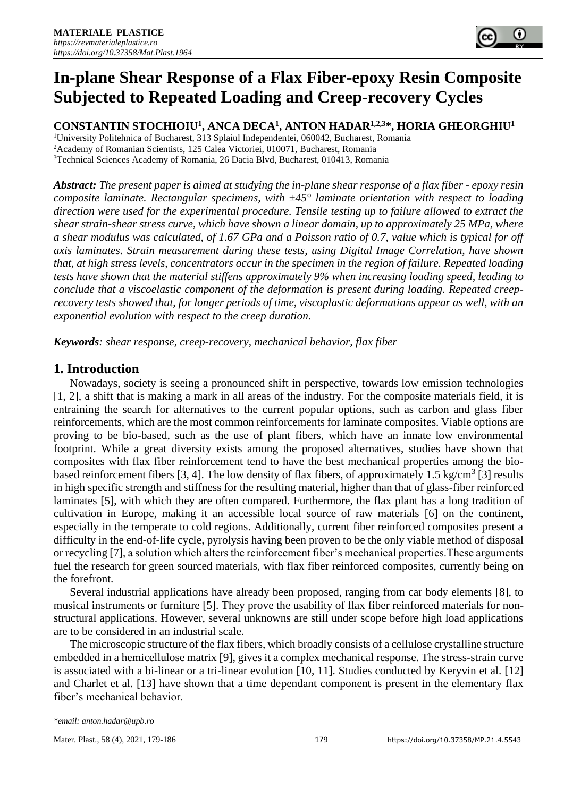# **In-plane Shear Response of a Flax Fiber-epoxy Resin Composite Subjected to Repeated Loading and Creep-recovery Cycles**

**CONSTANTIN STOCHIOIU<sup>1</sup> , ANCA DECA<sup>1</sup> , ANTON HADAR1,2,3\*, HORIA GHEORGHIU<sup>1</sup>**

<sup>1</sup>University Politehnica of Bucharest, 313 Splaiul Independentei, 060042, Bucharest, Romania

<sup>2</sup> Academy of Romanian Scientists, 125 Calea Victoriei, 010071, Bucharest, Romania

<sup>3</sup>Technical Sciences Academy of Romania, 26 Dacia Blvd, Bucharest, 010413, Romania

*Abstract: The present paper is aimed at studying the in-plane shear response of a flax fiber - epoxy resin composite laminate. Rectangular specimens, with ±45° laminate orientation with respect to loading direction were used for the experimental procedure. Tensile testing up to failure allowed to extract the shear strain-shear stress curve, which have shown a linear domain, up to approximately 25 MPa, where a shear modulus was calculated, of 1.67 GPa and a Poisson ratio of 0.7, value which is typical for off axis laminates. Strain measurement during these tests, using Digital Image Correlation, have shown that, at high stress levels, concentrators occur in the specimen in the region of failure. Repeated loading tests have shown that the material stiffens approximately 9% when increasing loading speed, leading to conclude that a viscoelastic component of the deformation is present during loading. Repeated creeprecovery tests showed that, for longer periods of time, viscoplastic deformations appear as well, with an exponential evolution with respect to the creep duration.* 

*Keywords: shear response, creep-recovery, mechanical behavior, flax fiber*

# **1. Introduction**

Nowadays, society is seeing a pronounced shift in perspective, towards low emission technologies [1, 2], a shift that is making a mark in all areas of the industry. For the composite materials field, it is entraining the search for alternatives to the current popular options, such as carbon and glass fiber reinforcements, which are the most common reinforcements for laminate composites. Viable options are proving to be bio-based, such as the use of plant fibers, which have an innate low environmental footprint. While a great diversity exists among the proposed alternatives, studies have shown that composites with flax fiber reinforcement tend to have the best mechanical properties among the biobased reinforcement fibers [3, 4]. The low density of flax fibers, of approximately 1.5 kg/cm<sup>3</sup> [3] results in high specific strength and stiffness for the resulting material, higher than that of glass-fiber reinforced laminates [5], with which they are often compared. Furthermore, the flax plant has a long tradition of cultivation in Europe, making it an accessible local source of raw materials [6] on the continent, especially in the temperate to cold regions. Additionally, current fiber reinforced composites present a difficulty in the end-of-life cycle, pyrolysis having been proven to be the only viable method of disposal or recycling [7], a solution which alters the reinforcement fiber's mechanical properties.These arguments fuel the research for green sourced materials, with flax fiber reinforced composites, currently being on the forefront.

Several industrial applications have already been proposed, ranging from car body elements [8], to musical instruments or furniture [5]. They prove the usability of flax fiber reinforced materials for nonstructural applications. However, several unknowns are still under scope before high load applications are to be considered in an industrial scale.

The microscopic structure of the flax fibers, which broadly consists of a cellulose crystalline structure embedded in a hemicellulose matrix [9], gives it a complex mechanical response. The stress-strain curve is associated with a bi-linear or a tri-linear evolution [10, 11]. Studies conducted by Keryvin et al. [12] and Charlet et al. [13] have shown that a time dependant component is present in the elementary flax fiber's mechanical behavior.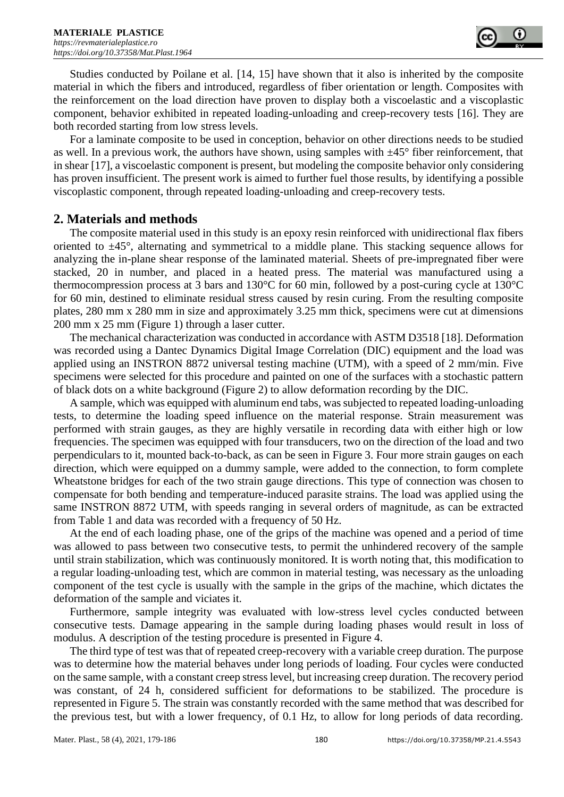

Studies conducted by Poilane et al. [14, 15] have shown that it also is inherited by the composite material in which the fibers and introduced, regardless of fiber orientation or length. Composites with the reinforcement on the load direction have proven to display both a viscoelastic and a viscoplastic component, behavior exhibited in repeated loading-unloading and creep-recovery tests [16]. They are both recorded starting from low stress levels.

For a laminate composite to be used in conception, behavior on other directions needs to be studied as well. In a previous work, the authors have shown, using samples with  $\pm 45^{\circ}$  fiber reinforcement, that in shear [17], a viscoelastic component is present, but modeling the composite behavior only considering has proven insufficient. The present work is aimed to further fuel those results, by identifying a possible viscoplastic component, through repeated loading-unloading and creep-recovery tests.

## **2. Materials and methods**

The composite material used in this study is an epoxy resin reinforced with unidirectional flax fibers oriented to  $\pm 45^{\circ}$ , alternating and symmetrical to a middle plane. This stacking sequence allows for analyzing the in-plane shear response of the laminated material. Sheets of pre-impregnated fiber were stacked, 20 in number, and placed in a heated press. The material was manufactured using a thermocompression process at 3 bars and 130°C for 60 min, followed by a post-curing cycle at 130°C for 60 min, destined to eliminate residual stress caused by resin curing. From the resulting composite plates, 280 mm x 280 mm in size and approximately 3.25 mm thick, specimens were cut at dimensions 200 mm x 25 mm [\(Figure 1\)](#page-2-0) through a laser cutter.

The mechanical characterization was conducted in accordance with ASTM D3518 [18]. Deformation was recorded using a Dantec Dynamics Digital Image Correlation (DIC) equipment and the load was applied using an INSTRON 8872 universal testing machine (UTM), with a speed of 2 mm/min. Five specimens were selected for this procedure and painted on one of the surfaces with a stochastic pattern of black dots on a white background [\(Figure 2\)](#page-2-1) to allow deformation recording by the DIC.

A sample, which was equipped with aluminum end tabs, was subjected to repeated loading-unloading tests, to determine the loading speed influence on the material response. Strain measurement was performed with strain gauges, as they are highly versatile in recording data with either high or low frequencies. The specimen was equipped with four transducers, two on the direction of the load and two perpendiculars to it, mounted back-to-back, as can be seen in [Figure 3.](#page-2-2) Four more strain gauges on each direction, which were equipped on a dummy sample, were added to the connection, to form complete Wheatstone bridges for each of the two strain gauge directions. This type of connection was chosen to compensate for both bending and temperature-induced parasite strains. The load was applied using the same INSTRON 8872 UTM, with speeds ranging in several orders of magnitude, as can be extracted from Table 1 and data was recorded with a frequency of 50 Hz.

At the end of each loading phase, one of the grips of the machine was opened and a period of time was allowed to pass between two consecutive tests, to permit the unhindered recovery of the sample until strain stabilization, which was continuously monitored. It is worth noting that, this modification to a regular loading-unloading test, which are common in material testing, was necessary as the unloading component of the test cycle is usually with the sample in the grips of the machine, which dictates the deformation of the sample and viciates it.

Furthermore, sample integrity was evaluated with low-stress level cycles conducted between consecutive tests. Damage appearing in the sample during loading phases would result in loss of modulus. A description of the testing procedure is presented in Figure 4.

The third type of test was that of repeated creep-recovery with a variable creep duration. The purpose was to determine how the material behaves under long periods of loading. Four cycles were conducted on the same sample, with a constant creep stress level, but increasing creep duration. The recovery period was constant, of 24 h, considered sufficient for deformations to be stabilized. The procedure is represented in [Figure 5.](#page-2-3) The strain was constantly recorded with the same method that was described for the previous test, but with a lower frequency, of 0.1 Hz, to allow for long periods of data recording.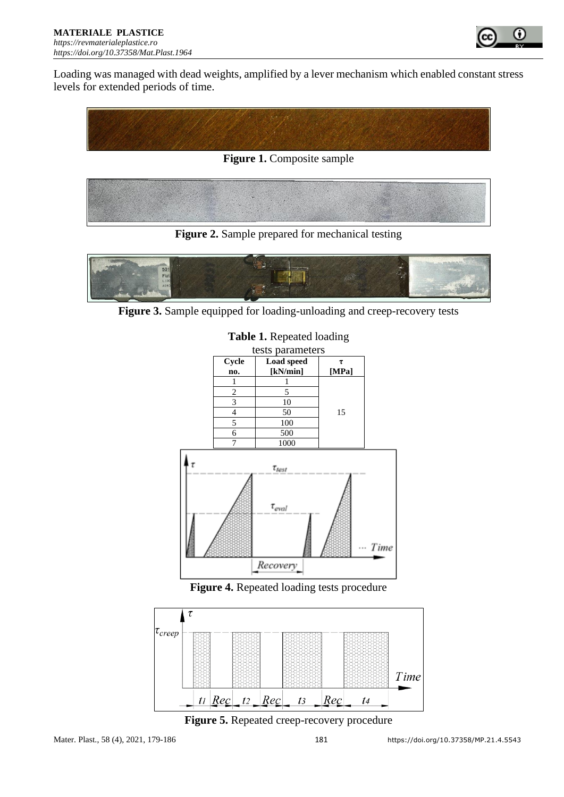

Loading was managed with dead weights, amplified by a lever mechanism which enabled constant stress levels for extended periods of time.



**Figure 1.** Composite sample

<span id="page-2-0"></span>

**Figure 2.** Sample prepared for mechanical testing

<span id="page-2-2"></span><span id="page-2-1"></span>

**Figure 3.** Sample equipped for loading-unloading and creep-recovery tests

**Table 1.** Repeated loading



**Figure 4.** Repeated loading tests procedure



<span id="page-2-3"></span>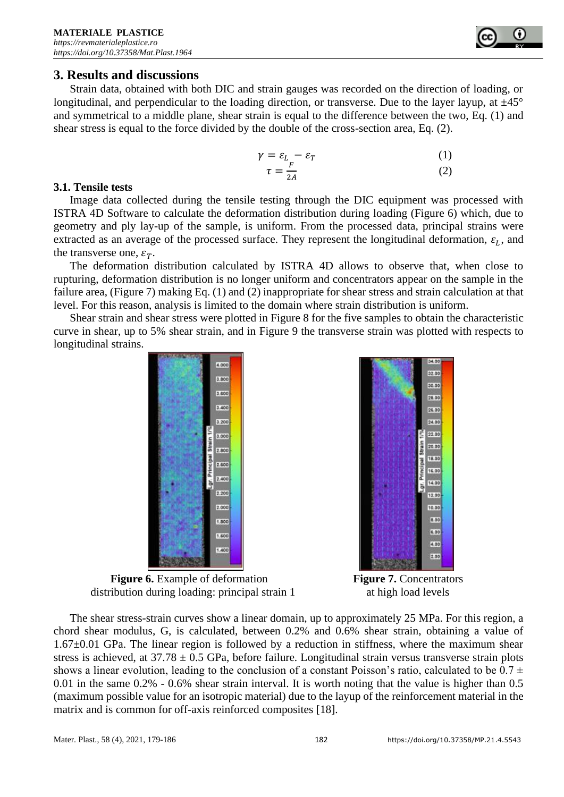

## **3. Results and discussions**

Strain data, obtained with both DIC and strain gauges was recorded on the direction of loading, or longitudinal, and perpendicular to the loading direction, or transverse. Due to the layer layup, at  $\pm 45^{\circ}$ and symmetrical to a middle plane, shear strain is equal to the difference between the two, Eq. (1) and shear stress is equal to the force divided by the double of the cross-section area, Eq. (2).

$$
\gamma = \varepsilon_L - \varepsilon_T \tag{1}
$$

$$
\tau = \frac{F}{2A} \tag{2}
$$

#### **3.1. Tensile tests**

Image data collected during the tensile testing through the DIC equipment was processed with ISTRA 4D Software to calculate the deformation distribution during loading (Figure 6) which, due to geometry and ply lay-up of the sample, is uniform. From the processed data, principal strains were extracted as an average of the processed surface. They represent the longitudinal deformation,  $\varepsilon_L$ , and the transverse one,  $\varepsilon_T$ .

The deformation distribution calculated by ISTRA 4D allows to observe that, when close to rupturing, deformation distribution is no longer uniform and concentrators appear on the sample in the failure area, (Figure 7) making Eq. (1) and (2) inappropriate for shear stress and strain calculation at that level. For this reason, analysis is limited to the domain where strain distribution is uniform.

Shear strain and shear stress were plotted in Figure 8 for the five samples to obtain the characteristic curve in shear, up to 5% shear strain, and in Figure 9 the transverse strain was plotted with respects to longitudinal strains.



32.00  $30.00$ 28.00 26.00 24.00 22.00 20.00  $18.00$ 16.00 14.00 12.00 10.00 8.00 6.00 4.00  $2.00$ 

34.00

**Figure 6.** Example of deformation **Figure 7.** Concentrators distribution during loading: principal strain 1 at high load levels

The shear stress-strain curves show a linear domain, up to approximately 25 MPa. For this region, a chord shear modulus, G, is calculated, between 0.2% and 0.6% shear strain, obtaining a value of  $1.67\pm0.01$  GPa. The linear region is followed by a reduction in stiffness, where the maximum shear stress is achieved, at  $37.78 \pm 0.5$  GPa, before failure. Longitudinal strain versus transverse strain plots shows a linear evolution, leading to the conclusion of a constant Poisson's ratio, calculated to be  $0.7 \pm$ 0.01 in the same 0.2% - 0.6% shear strain interval. It is worth noting that the value is higher than 0.5 (maximum possible value for an isotropic material) due to the layup of the reinforcement material in the matrix and is common for off-axis reinforced composites [18].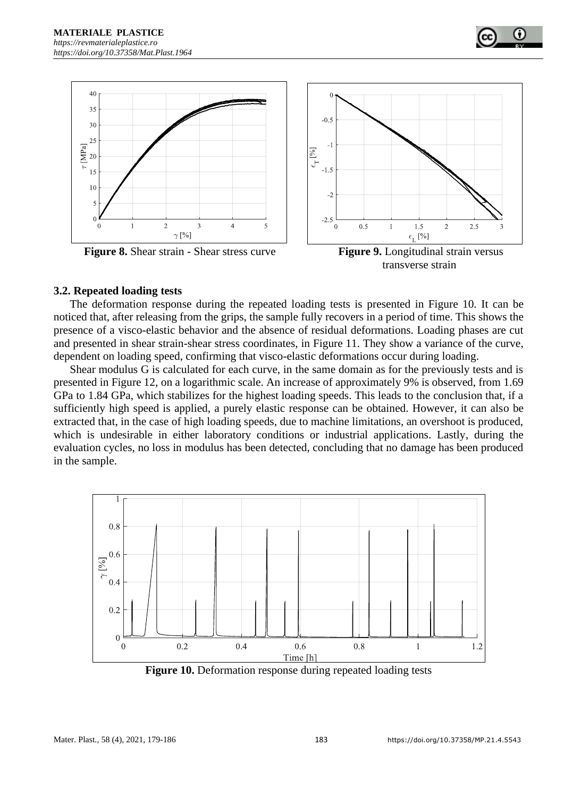

**Figure 8.** Shear strain - Shear stress curve **Figure 9.** Longitudinal strain versus



transverse strain

#### **3.2. Repeated loading tests**

The deformation response during the repeated loading tests is presented in [Figure 10.](#page-4-0) It can be noticed that, after releasing from the grips, the sample fully recovers in a period of time. This shows the presence of a visco-elastic behavior and the absence of residual deformations. Loading phases are cut and presented in shear strain-shear stress coordinates, in Figure 11. They show a variance of the curve, dependent on loading speed, confirming that visco-elastic deformations occur during loading.

Shear modulus G is calculated for each curve, in the same domain as for the previously tests and is presented in Figure 12, on a logarithmic scale. An increase of approximately 9% is observed, from 1.69 GPa to 1.84 GPa, which stabilizes for the highest loading speeds. This leads to the conclusion that, if a sufficiently high speed is applied, a purely elastic response can be obtained. However, it can also be extracted that, in the case of high loading speeds, due to machine limitations, an overshoot is produced, which is undesirable in either laboratory conditions or industrial applications. Lastly, during the evaluation cycles, no loss in modulus has been detected, concluding that no damage has been produced in the sample.



<span id="page-4-0"></span>**Figure 10.** Deformation response during repeated loading tests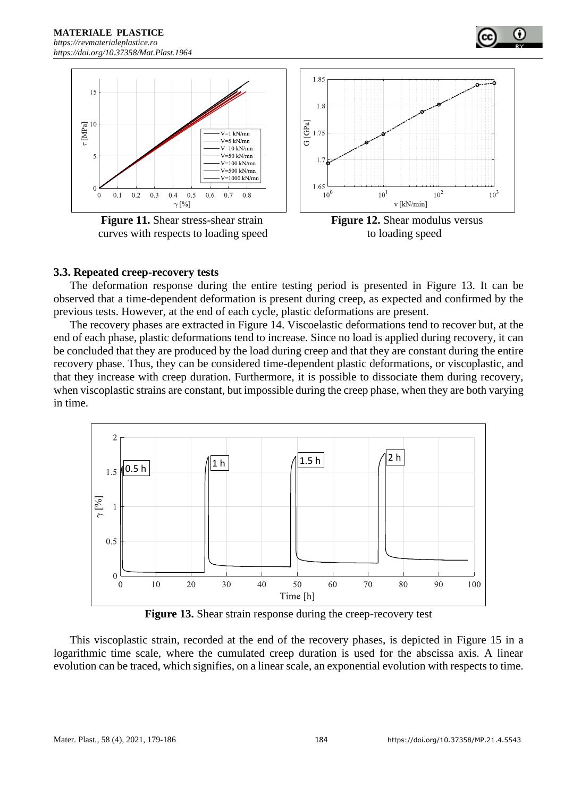

**Figure 11.** Shear stress-shear strain **Figure 12.** Shear modulus versus curves with respects to loading speed to loading speed to loading speed



## **3.3. Repeated creep-recovery tests**

The deformation response during the entire testing period is presented in [Figure 13.](#page-5-0) It can be observed that a time-dependent deformation is present during creep, as expected and confirmed by the previous tests. However, at the end of each cycle, plastic deformations are present.

The recovery phases are extracted in Figure 14. Viscoelastic deformations tend to recover but, at the end of each phase, plastic deformations tend to increase. Since no load is applied during recovery, it can be concluded that they are produced by the load during creep and that they are constant during the entire recovery phase. Thus, they can be considered time-dependent plastic deformations, or viscoplastic, and that they increase with creep duration. Furthermore, it is possible to dissociate them during recovery, when viscoplastic strains are constant, but impossible during the creep phase, when they are both varying in time.



**Figure 13.** Shear strain response during the creep-recovery test

<span id="page-5-0"></span>This viscoplastic strain, recorded at the end of the recovery phases, is depicted in Figure 15 in a logarithmic time scale, where the cumulated creep duration is used for the abscissa axis. A linear evolution can be traced, which signifies, on a linear scale, an exponential evolution with respects to time.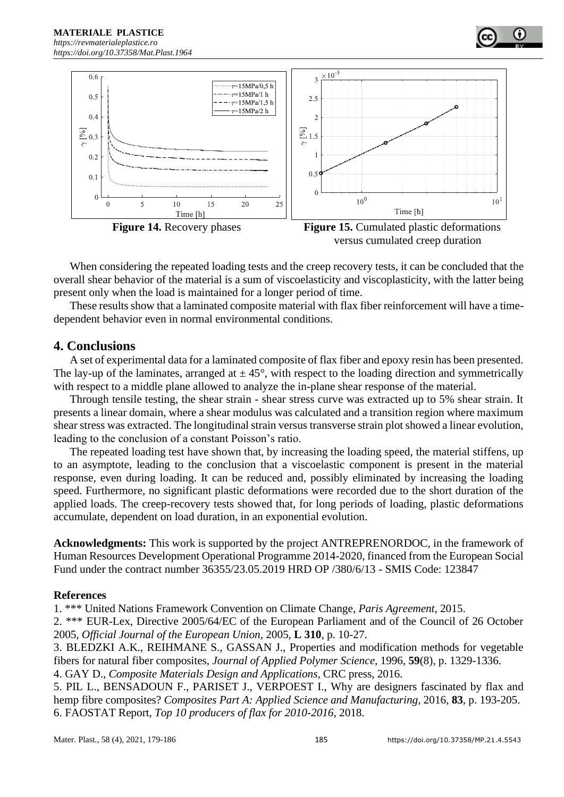

versus cumulated creep duration

When considering the repeated loading tests and the creep recovery tests, it can be concluded that the overall shear behavior of the material is a sum of viscoelasticity and viscoplasticity, with the latter being present only when the load is maintained for a longer period of time.

These results show that a laminated composite material with flax fiber reinforcement will have a timedependent behavior even in normal environmental conditions.

## **4. Conclusions**

A set of experimental data for a laminated composite of flax fiber and epoxy resin has been presented. The lay-up of the laminates, arranged at  $\pm 45^{\circ}$ , with respect to the loading direction and symmetrically with respect to a middle plane allowed to analyze the in-plane shear response of the material.

Through tensile testing, the shear strain - shear stress curve was extracted up to 5% shear strain. It presents a linear domain, where a shear modulus was calculated and a transition region where maximum shear stress was extracted. The longitudinal strain versus transverse strain plot showed a linear evolution, leading to the conclusion of a constant Poisson's ratio.

The repeated loading test have shown that, by increasing the loading speed, the material stiffens, up to an asymptote, leading to the conclusion that a viscoelastic component is present in the material response, even during loading. It can be reduced and, possibly eliminated by increasing the loading speed. Furthermore, no significant plastic deformations were recorded due to the short duration of the applied loads. The creep-recovery tests showed that, for long periods of loading, plastic deformations accumulate, dependent on load duration, in an exponential evolution.

**Acknowledgments:** This work is supported by the project ANTREPRENORDOC, in the framework of Human Resources Development Operational Programme 2014-2020, financed from the European Social Fund under the contract number 36355/23.05.2019 HRD OP /380/6/13 - SMIS Code: 123847

## **References**

1. \*\*\* United Nations Framework Convention on Climate Change, *Paris Agreement*, 2015.

2. \*\*\* EUR-Lex, Directive 2005/64/EC of the European Parliament and of the Council of 26 October 2005, *Official Journal of the European Union*, 2005, **L 310**, p. 10-27.

3. BLEDZKI A.K., REIHMANE S., GASSAN J., Properties and modification methods for vegetable fibers for natural fiber composites, *Journal of Applied Polymer Science,* 1996, **59**(8), p. 1329-1336.

4. GAY D., *Composite Materials Design and Applications,* CRC press, 2016.

5. PIL L., BENSADOUN F., PARISET J., VERPOEST I., Why are designers fascinated by flax and hemp fibre composites? *Composites Part A: Applied Science and Manufacturing*, 2016, **83**, p. 193-205. 6. FAOSTAT Report, *Top 10 producers of flax for 2010-2016*, 2018.